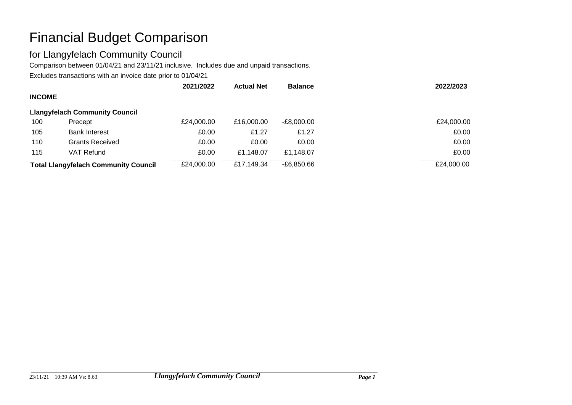# Financial Budget Comparison

#### for Llangyfelach Community Council

Comparison between 01/04/21 and 23/11/21 inclusive. Includes due and unpaid transactions.

Excludes transactions with an invoice date prior to 01/04/21

|                                             |                                       | 2021/2022  | <b>Actual Net</b> | <b>Balance</b> | 2022/2023  |
|---------------------------------------------|---------------------------------------|------------|-------------------|----------------|------------|
| <b>INCOME</b>                               |                                       |            |                   |                |            |
|                                             | <b>Llangyfelach Community Council</b> |            |                   |                |            |
| 100                                         | Precept                               | £24,000.00 | £16,000,00        | $-E8,000.00$   | £24,000.00 |
| 105                                         | <b>Bank Interest</b>                  | £0.00      | £1.27             | £1.27          | £0.00      |
| 110                                         | <b>Grants Received</b>                | £0.00      | £0.00             | £0.00          | £0.00      |
| 115                                         | VAT Refund                            | £0.00      | £1.148.07         | £1,148.07      | £0.00      |
| <b>Total Llangyfelach Community Council</b> |                                       | £24,000.00 | £17,149.34        | $-E6,850.66$   | £24,000.00 |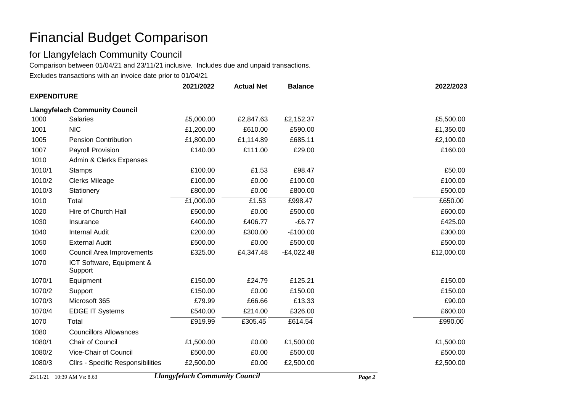## Financial Budget Comparison

#### for Llangyfelach Community Council

Comparison between 01/04/21 and 23/11/21 inclusive. Includes due and unpaid transactions.

Excludes transactions with an invoice date prior to 01/04/21

|                                       |                                          | 2021/2022 | <b>Actual Net</b> | <b>Balance</b> | 2022/2023  |  |  |
|---------------------------------------|------------------------------------------|-----------|-------------------|----------------|------------|--|--|
| <b>EXPENDITURE</b>                    |                                          |           |                   |                |            |  |  |
| <b>Llangyfelach Community Council</b> |                                          |           |                   |                |            |  |  |
| 1000                                  | <b>Salaries</b>                          | £5,000.00 | £2,847.63         | £2,152.37      | £5,500.00  |  |  |
| 1001                                  | <b>NIC</b>                               | £1,200.00 | £610.00           | £590.00        | £1,350.00  |  |  |
| 1005                                  | <b>Pension Contribution</b>              | £1,800.00 | £1,114.89         | £685.11        | £2,100.00  |  |  |
| 1007                                  | Payroll Provision                        | £140.00   | £111.00           | £29.00         | £160.00    |  |  |
| 1010                                  | Admin & Clerks Expenses                  |           |                   |                |            |  |  |
| 1010/1                                | <b>Stamps</b>                            | £100.00   | £1.53             | £98.47         | £50.00     |  |  |
| 1010/2                                | <b>Clerks Mileage</b>                    | £100.00   | £0.00             | £100.00        | £100.00    |  |  |
| 1010/3                                | Stationery                               | £800.00   | £0.00             | £800.00        | £500.00    |  |  |
| 1010                                  | Total                                    | £1,000.00 | £1.53             | £998.47        | £650.00    |  |  |
| 1020                                  | Hire of Church Hall                      | £500.00   | £0.00             | £500.00        | £600.00    |  |  |
| 1030                                  | Insurance                                | £400.00   | £406.77           | $-£6.77$       | £425.00    |  |  |
| 1040                                  | <b>Internal Audit</b>                    | £200.00   | £300.00           | $-E100.00$     | £300.00    |  |  |
| 1050                                  | <b>External Audit</b>                    | £500.00   | £0.00             | £500.00        | £500.00    |  |  |
| 1060                                  | Council Area Improvements                | £325.00   | £4,347.48         | $-E4,022.48$   | £12,000.00 |  |  |
| 1070                                  | ICT Software, Equipment &<br>Support     |           |                   |                |            |  |  |
| 1070/1                                | Equipment                                | £150.00   | £24.79            | £125.21        | £150.00    |  |  |
| 1070/2                                | Support                                  | £150.00   | £0.00             | £150.00        | £150.00    |  |  |
| 1070/3                                | Microsoft 365                            | £79.99    | £66.66            | £13.33         | £90.00     |  |  |
| 1070/4                                | <b>EDGE IT Systems</b>                   | £540.00   | £214.00           | £326.00        | £600.00    |  |  |
| 1070                                  | Total                                    | £919.99   | £305.45           | £614.54        | £990.00    |  |  |
| 1080                                  | <b>Councillors Allowances</b>            |           |                   |                |            |  |  |
| 1080/1                                | Chair of Council                         | £1,500.00 | £0.00             | £1,500.00      | £1,500.00  |  |  |
| 1080/2                                | Vice-Chair of Council                    | £500.00   | £0.00             | £500.00        | £500.00    |  |  |
| 1080/3                                | <b>Cllrs - Specific Responsibilities</b> | £2,500.00 | £0.00             | £2,500.00      | £2,500.00  |  |  |

23/11/21 10:39 AM Vs: 8.63 *Llangyfelach Community Council Page 2*